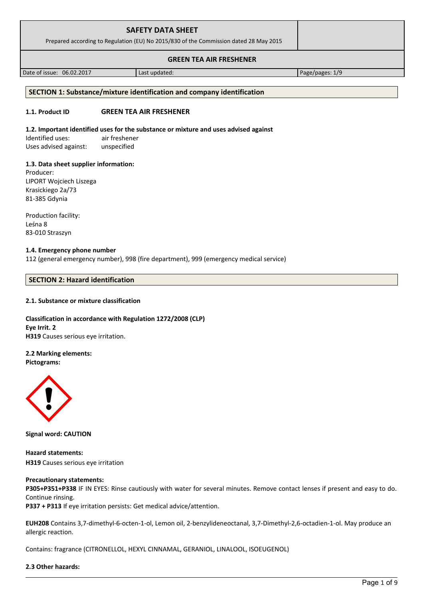| <b>SAFETY DATA SHEET</b><br>Prepared according to Regulation (EU) No 2015/830 of the Commission dated 28 May 2015 |  |
|-------------------------------------------------------------------------------------------------------------------|--|
| <b>GREEN TEA AIR FRESHENER</b>                                                                                    |  |

Date of issue: 06.02.2017 **Last updated:** Page/pages: 1/9

# **SECTION 1: Substance/mixture identification and company identification**

# **1.1. Product ID GREEN TEA AIR FRESHENER**

# **1.2. Important identified uses for the substance or mixture and uses advised against**

Identified uses: air freshener Uses advised against: unspecified

# **1.3. Data sheet supplier information:**

Producer: LIPORT Wojciech Liszega Krasickiego 2a/73 81-385 Gdynia

Production facility: Leśna 8 83-010 Straszyn

## **1.4. Emergency phone number**

112 (general emergency number), 998 (fire department), 999 (emergency medical service)

# **SECTION 2: Hazard identification**

# **2.1. Substance or mixture classification**

## **Classification in accordance with Regulation 1272/2008 (CLP) Eye Irrit. 2 H319** Causes serious eye irritation.

# **2.2 Marking elements:**

**Pictograms:**



**Signal word: CAUTION**

**Hazard statements: H319** Causes serious eye irritation

# **Precautionary statements:**

**P305+P351+P338** IF IN EYES: Rinse cautiously with water for several minutes. Remove contact lenses if present and easy to do. Continue rinsing.

**P337 + P313** If eye irritation persists: Get medical advice/attention.

**EUH208** Contains 3,7-dimethyl-6-octen-1-ol, Lemon oil, 2-benzylideneoctanal, 3,7-Dimethyl-2,6-octadien-1-ol. May produce an allergic reaction.

Contains: fragrance (CITRONELLOL, HEXYL CINNAMAL, GERANIOL, LINALOOL, ISOEUGENOL)

# **2.3 Other hazards:**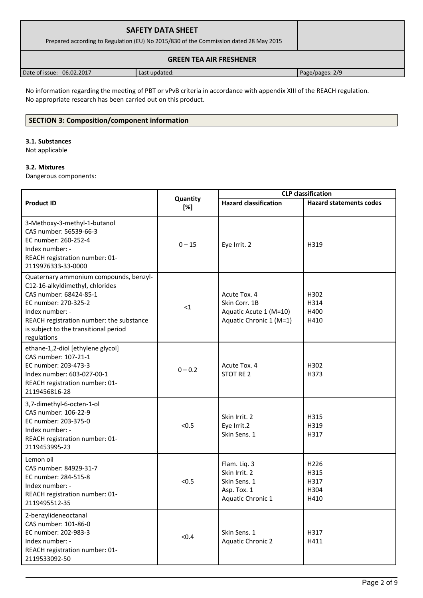| <b>SAFETY DATA SHEET</b><br>Prepared according to Regulation (EU) No 2015/830 of the Commission dated 28 May 2015 |               |                 |
|-------------------------------------------------------------------------------------------------------------------|---------------|-----------------|
|                                                                                                                   |               |                 |
| Date of issue: 06.02.2017                                                                                         | Last updated: | Page/pages: 2/9 |

No information regarding the meeting of PBT or vPvB criteria in accordance with appendix XIII of the REACH regulation. No appropriate research has been carried out on this product.

# **SECTION 3: Composition/component information**

## **3.1. Substances**

Not applicable

## **3.2. Mixtures**

Dangerous components:

|                                                                                                                                                                                                                                                    | <b>CLP</b> classification |                                                                                    |                                                  |
|----------------------------------------------------------------------------------------------------------------------------------------------------------------------------------------------------------------------------------------------------|---------------------------|------------------------------------------------------------------------------------|--------------------------------------------------|
| <b>Product ID</b>                                                                                                                                                                                                                                  | Quantity<br>[%]           | <b>Hazard classification</b>                                                       | <b>Hazard statements codes</b>                   |
| 3-Methoxy-3-methyl-1-butanol<br>CAS number: 56539-66-3<br>EC number: 260-252-4<br>Index number: -<br>REACH registration number: 01-<br>2119976333-33-0000                                                                                          | $0 - 15$                  | Eye Irrit. 2                                                                       | H319                                             |
| Quaternary ammonium compounds, benzyl-<br>C12-16-alkyldimethyl, chlorides<br>CAS number: 68424-85-1<br>EC number: 270-325-2<br>Index number: -<br>REACH registration number: the substance<br>is subject to the transitional period<br>regulations | $\leq 1$                  | Acute Tox. 4<br>Skin Corr. 1B<br>Aquatic Acute 1 (M=10)<br>Aquatic Chronic 1 (M=1) | H302<br>H314<br>H400<br>H410                     |
| ethane-1,2-diol [ethylene glycol]<br>CAS number: 107-21-1<br>EC number: 203-473-3<br>Index number: 603-027-00-1<br>REACH registration number: 01-<br>2119456816-28                                                                                 | $0 - 0.2$                 | Acute Tox. 4<br>STOT RE 2                                                          | H302<br>H373                                     |
| 3,7-dimethyl-6-octen-1-ol<br>CAS number: 106-22-9<br>EC number: 203-375-0<br>Index number: -<br>REACH registration number: 01-<br>2119453995-23                                                                                                    | < 0.5                     | Skin Irrit. 2<br>Eye Irrit.2<br>Skin Sens. 1                                       | H315<br>H319<br>H317                             |
| Lemon oil<br>CAS number: 84929-31-7<br>EC number: 284-515-8<br>Index number: -<br>REACH registration number: 01-<br>2119495512-35                                                                                                                  | < 0.5                     | Flam. Liq. 3<br>Skin Irrit. 2<br>Skin Sens. 1<br>Asp. Tox. 1<br>Aquatic Chronic 1  | H <sub>226</sub><br>H315<br>H317<br>H304<br>H410 |
| 2-benzylideneoctanal<br>CAS number: 101-86-0<br>EC number: 202-983-3<br>Index number: -<br>REACH registration number: 01-<br>2119533092-50                                                                                                         | < 0.4                     | Skin Sens. 1<br><b>Aquatic Chronic 2</b>                                           | H317<br>H411                                     |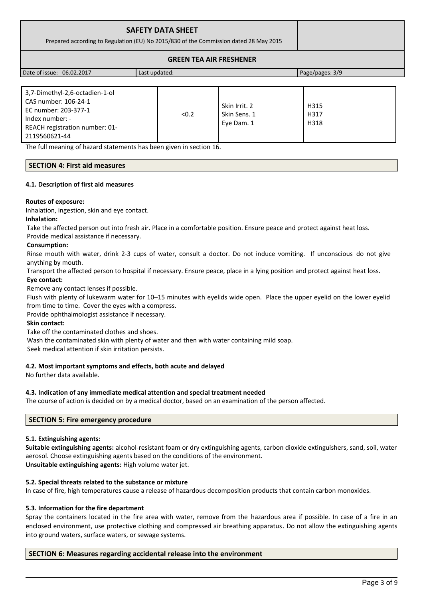| <b>SAFETY DATA SHEET</b><br>Prepared according to Regulation (EU) No 2015/830 of the Commission dated 28 May 2015 |               |                 |
|-------------------------------------------------------------------------------------------------------------------|---------------|-----------------|
| <b>GREEN TEA AIR FRESHENER</b>                                                                                    |               |                 |
| Date of issue: 06.02.2017                                                                                         | Last updated: | Page/pages: 3/9 |

| 3,7-Dimethyl-2,6-octadien-1-ol |       |               |      |
|--------------------------------|-------|---------------|------|
| CAS number: 106-24-1           |       | Skin Irrit. 2 | H315 |
| EC number: 203-377-1           |       |               |      |
| Index number: -                | < 0.2 | Skin Sens. 1  | H317 |
| REACH registration number: 01- |       | Eye Dam. 1    | H318 |
| 2119560621-44                  |       |               |      |

The full meaning of hazard statements has been given in section 16.

## **SECTION 4: First aid measures**

## **4.1. Description of first aid measures**

## **Routes of exposure:**

Inhalation, ingestion, skin and eye contact.

## **Inhalation:**

Take the affected person out into fresh air. Place in a comfortable position. Ensure peace and protect against heat loss. Provide medical assistance if necessary.

## **Consumption:**

Rinse mouth with water, drink 2-3 cups of water, consult a doctor. Do not induce vomiting. If unconscious do not give anything by mouth.

Transport the affected person to hospital if necessary. Ensure peace, place in a lying position and protect against heat loss.

## **Eye contact:**

Remove any contact lenses if possible.

Flush with plenty of lukewarm water for 10–15 minutes with eyelids wide open. Place the upper eyelid on the lower eyelid from time to time. Cover the eyes with a compress.

Provide ophthalmologist assistance if necessary.

## **Skin contact:**

Take off the contaminated clothes and shoes.

Wash the contaminated skin with plenty of water and then with water containing mild soap.

Seek medical attention if skin irritation persists.

## **4.2. Most important symptoms and effects, both acute and delayed**

No further data available.

## **4.3. Indication of any immediate medical attention and special treatment needed**

The course of action is decided on by a medical doctor, based on an examination of the person affected.

## **SECTION 5: Fire emergency procedure**

## **5.1. Extinguishing agents:**

**Suitable extinguishing agents:** alcohol-resistant foam or dry extinguishing agents, carbon dioxide extinguishers, sand, soil, water aerosol. Choose extinguishing agents based on the conditions of the environment. **Unsuitable extinguishing agents:** High volume water jet.

## **5.2. Special threats related to the substance or mixture**

In case of fire, high temperatures cause a release of hazardous decomposition products that contain carbon monoxides.

## **5.3. Information for the fire department**

Spray the containers located in the fire area with water, remove from the hazardous area if possible. In case of a fire in an enclosed environment, use protective clothing and compressed air breathing apparatus. Do not allow the extinguishing agents into ground waters, surface waters, or sewage systems.

## **SECTION 6: Measures regarding accidental release into the environment**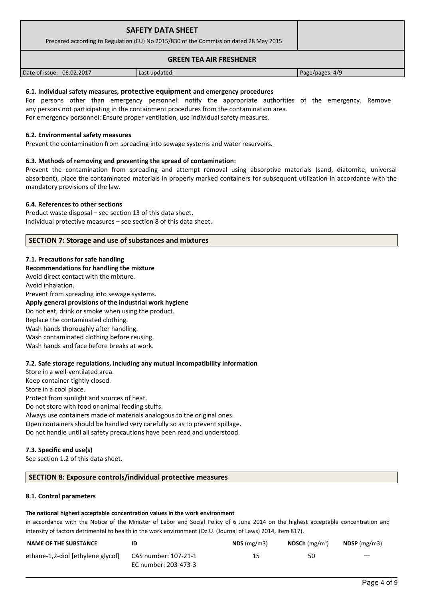| <b>SAFETY DATA SHEET</b><br>Prepared according to Regulation (EU) No 2015/830 of the Commission dated 28 May 2015 |               |                 |
|-------------------------------------------------------------------------------------------------------------------|---------------|-----------------|
| <b>GREEN TEA AIR FRESHENER</b>                                                                                    |               |                 |
| Date of issue: 06.02.2017                                                                                         | Last updated: | Page/pages: 4/9 |

## **6.1. Individual safety measures, protective equipment and emergency procedures**

For persons other than emergency personnel: notify the appropriate authorities of the emergency. Remove any persons not participating in the containment procedures from the contamination area. For emergency personnel: Ensure proper ventilation, use individual safety measures.

## **6.2. Environmental safety measures**

Prevent the contamination from spreading into sewage systems and water reservoirs.

## **6.3. Methods of removing and preventing the spread of contamination:**

Prevent the contamination from spreading and attempt removal using absorptive materials (sand, diatomite, universal absorbent), place the contaminated materials in properly marked containers for subsequent utilization in accordance with the mandatory provisions of the law.

## **6.4. References to other sections**

Product waste disposal – see section 13 of this data sheet. Individual protective measures – see section 8 of this data sheet.

## **SECTION 7: Storage and use of substances and mixtures**

## **7.1. Precautions for safe handling**

**Recommendations for handling the mixture** 

Avoid direct contact with the mixture.

Avoid inhalation.

Prevent from spreading into sewage systems.

## **Apply general provisions of the industrial work hygiene**

Do not eat, drink or smoke when using the product. Replace the contaminated clothing. Wash hands thoroughly after handling. Wash contaminated clothing before reusing. Wash hands and face before breaks at work.

## **7.2. Safe storage regulations, including any mutual incompatibility information**

Store in a well-ventilated area. Keep container tightly closed. Store in a cool place. Protect from sunlight and sources of heat. Do not store with food or animal feeding stuffs. Always use containers made of materials analogous to the original ones. Open containers should be handled very carefully so as to prevent spillage. Do not handle until all safety precautions have been read and understood.

## **7.3. Specific end use(s)**

See section 1.2 of this data sheet.

## **SECTION 8: Exposure controls/individual protective measures**

## **8.1. Control parameters**

## **The national highest acceptable concentration values in the work environment**

in accordance with the Notice of the Minister of Labor and Social Policy of 6 June 2014 on the highest acceptable concentration and intensity of factors detrimental to health in the work environment (Dz.U. (Journal of Laws) 2014, item 817).

| <b>NAME OF THE SUBSTANCE</b>      | ID                   | NDS(mg/m3) | <b>NDSCh</b> (mg/m <sup>3</sup> ) | $NDSP$ (mg/m3) |
|-----------------------------------|----------------------|------------|-----------------------------------|----------------|
| ethane-1,2-diol [ethylene glycol] | CAS number: 107-21-1 | 15         | 50                                | $--$           |
|                                   | EC number: 203-473-3 |            |                                   |                |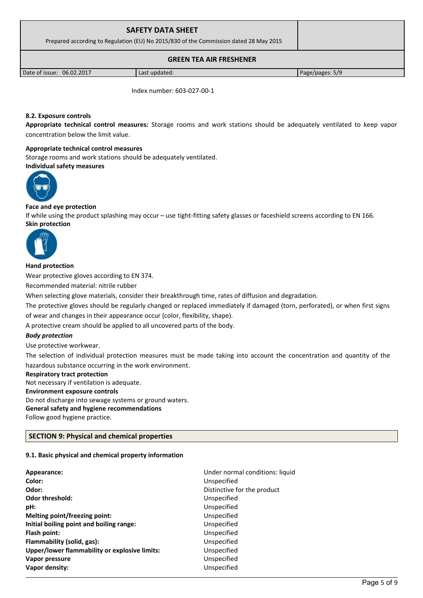|                                                                                       | <b>SAFETY DATA SHEET</b> |                 |
|---------------------------------------------------------------------------------------|--------------------------|-----------------|
| Prepared according to Regulation (EU) No 2015/830 of the Commission dated 28 May 2015 |                          |                 |
| <b>GREEN TEA AIR FRESHENER</b>                                                        |                          |                 |
| Date of issue: 06.02.2017                                                             | Last updated:            | Page/pages: 5/9 |

Index number: 603-027-00-1

## **8.2. Exposure controls**

**Appropriate technical control measures:** Storage rooms and work stations should be adequately ventilated to keep vapor concentration below the limit value.

#### **Appropriate technical control measures**

Storage rooms and work stations should be adequately ventilated. **Individual safety measures** 



## **Face and eye protection**

If while using the product splashing may occur – use tight-fitting safety glasses or faceshield screens according to EN 166. **Skin protection** 



## **Hand protection**

Wear protective gloves according to EN 374.

Recommended material: nitrile rubber

When selecting glove materials, consider their breakthrough time, rates of diffusion and degradation.

The protective gloves should be regularly changed or replaced immediately if damaged (torn, perforated), or when first signs of wear and changes in their appearance occur (color, flexibility, shape).

A protective cream should be applied to all uncovered parts of the body.

## *Body protection*

Use protective workwear.

The selection of individual protection measures must be made taking into account the concentration and quantity of the hazardous substance occurring in the work environment.

## **Respiratory tract protection**

Not necessary if ventilation is adequate.

**Environment exposure controls** 

Do not discharge into sewage systems or ground waters.

**General safety and hygiene recommendations**

Follow good hygiene practice.

## **SECTION 9: Physical and chemical properties**

## **9.1. Basic physical and chemical property information**

| Appearance:<br>Color:                         | Under normal conditions: liquid<br>Unspecified |
|-----------------------------------------------|------------------------------------------------|
| Odor:                                         | Distinctive for the product                    |
| Odor threshold:                               | Unspecified                                    |
| pH:                                           | Unspecified                                    |
| Melting point/freezing point:                 | Unspecified                                    |
| Initial boiling point and boiling range:      | Unspecified                                    |
| Flash point:                                  | Unspecified                                    |
| Flammability (solid, gas):                    | Unspecified                                    |
| Upper/lower flammability or explosive limits: | Unspecified                                    |
| Vapor pressure                                | Unspecified                                    |
| Vapor density:                                | Unspecified                                    |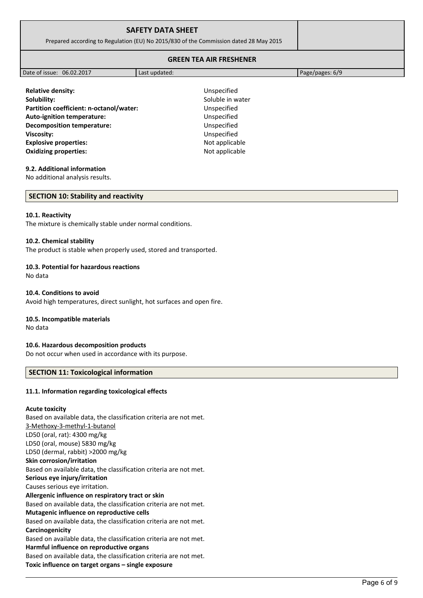| <b>SAFETY DATA SHEET</b>                                                              |  |
|---------------------------------------------------------------------------------------|--|
| Prepared according to Regulation (EU) No 2015/830 of the Commission dated 28 May 2015 |  |
|                                                                                       |  |

## **GREEN TEA AIR FRESHENER**

| Date of issue: 06.02.2017 | Last updated: | Page/pages: $6/9$ |
|---------------------------|---------------|-------------------|

**Relative density:** Unspecified **Solubility:** Soluble in water **Partition coefficient: n-octanol/water:** Unspecified **Auto-ignition temperature:** Unspecified **Decomposition temperature:** Unspecified **Viscosity:** Unspecified **Explosive properties:** Not applicable **Oxidizing properties:** Not applicable

## **9.2. Additional information**

No additional analysis results.

#### **SECTION 10: Stability and reactivity**

#### **10.1. Reactivity**

The mixture is chemically stable under normal conditions.

## **10.2. Chemical stability**

The product is stable when properly used, stored and transported.

## **10.3. Potential for hazardous reactions**

No data

## **10.4. Conditions to avoid**

Avoid high temperatures, direct sunlight, hot surfaces and open fire.

## **10.5. Incompatible materials**

No data

## **10.6. Hazardous decomposition products**

Do not occur when used in accordance with its purpose.

## **SECTION 11: Toxicological information**

## **11.1. Information regarding toxicological effects**

## **Acute toxicity**

Based on available data, the classification criteria are not met. 3-Methoxy-3-methyl-1-butanol LD50 (oral, rat): 4300 mg/kg LD50 (oral, mouse) 5830 mg/kg LD50 (dermal, rabbit) >2000 mg/kg **Skin corrosion/irritation** Based on available data, the classification criteria are not met. **Serious eye injury/irritation** Causes serious eye irritation. **Allergenic influence on respiratory tract or skin** Based on available data, the classification criteria are not met. **Mutagenic influence on reproductive cells** Based on available data, the classification criteria are not met. **Carcinogenicity** Based on available data, the classification criteria are not met. **Harmful influence on reproductive organs** Based on available data, the classification criteria are not met. **Toxic influence on target organs – single exposure**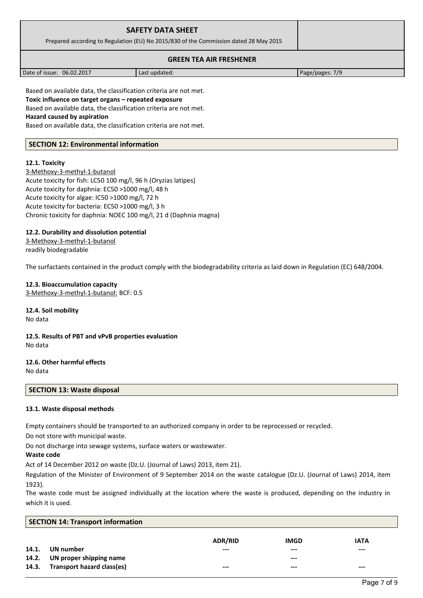| <b>SAFETY DATA SHEET</b><br>Prepared according to Regulation (EU) No 2015/830 of the Commission dated 28 May 2015 |  |
|-------------------------------------------------------------------------------------------------------------------|--|
| <b>GREEN TEA AIR FRESHENER</b>                                                                                    |  |

| 06.02.2017<br>Date of issue: | Last updated: | 7/9<br>Page/pages<br>---- |
|------------------------------|---------------|---------------------------|
|                              |               |                           |

Based on available data, the classification criteria are not met. **Toxic influence on target organs – repeated exposure** Based on available data, the classification criteria are not met.

**Hazard caused by aspiration**

Based on available data, the classification criteria are not met.

## **SECTION 12: Environmental information**

## **12.1. Toxicity**

3-Methoxy-3-methyl-1-butanol Acute toxicity for fish: LC50 100 mg/l, 96 h (Oryzias latipes) Acute toxicity for daphnia: EC50 >1000 mg/l, 48 h Acute toxicity for algae: IC50 >1000 mg/l, 72 h Acute toxicity for bacteria: EC50 >1000 mg/l, 3 h Chronic toxicity for daphnia: NOEC 100 mg/l, 21 d (Daphnia magna)

## **12.2. Durability and dissolution potential**

3-Methoxy-3-methyl-1-butanol readily biodegradable

The surfactants contained in the product comply with the biodegradability criteria as laid down in Regulation (EC) 648/2004.

## **12.3. Bioaccumulation capacity**

3-Methoxy-3-methyl-1-butanol: BCF: 0.5

**12.4. Soil mobility** No data

**12.5. Results of PBT and vPvB properties evaluation** No data

**12.6. Other harmful effects** No data

## **SECTION 13: Waste disposal**

## **13.1. Waste disposal methods**

Empty containers should be transported to an authorized company in order to be reprocessed or recycled.

Do not store with municipal waste.

Do not discharge into sewage systems, surface waters or wastewater.

## **Waste code**

Act of 14 December 2012 on waste (Dz.U. (Journal of Laws) 2013, item 21).

Regulation of the Minister of Environment of 9 September 2014 on the waste catalogue (Dz.U. (Journal of Laws) 2014, item 1923).

The waste code must be assigned individually at the location where the waste is produced, depending on the industry in which it is used.

|       | <b>SECTION 14: Transport information</b> |                |             |             |
|-------|------------------------------------------|----------------|-------------|-------------|
|       |                                          | <b>ADR/RID</b> | <b>IMGD</b> | <b>IATA</b> |
| 14.1. | UN number                                | $---$          | $---$       | $--$        |
|       | 14.2. UN proper shipping name            |                | ---         |             |
| 14.3. | Transport hazard class(es)               | ---            | ---         | $--$        |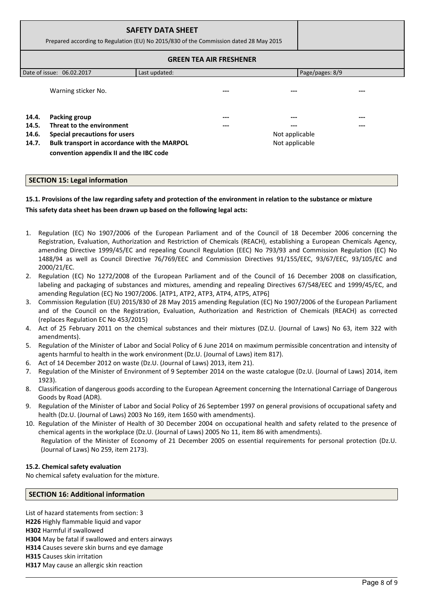| <b>SAFETY DATA SHEET</b><br>Prepared according to Regulation (EU) No 2015/830 of the Commission dated 28 May 2015 |                                                                                         |               |                                |                 |     |
|-------------------------------------------------------------------------------------------------------------------|-----------------------------------------------------------------------------------------|---------------|--------------------------------|-----------------|-----|
|                                                                                                                   |                                                                                         |               | <b>GREEN TEA AIR FRESHENER</b> |                 |     |
|                                                                                                                   | Date of issue: 06.02.2017                                                               | Last updated: |                                | Page/pages: 8/9 |     |
|                                                                                                                   | Warning sticker No.                                                                     |               | ---                            |                 | --- |
| 14.4.                                                                                                             | <b>Packing group</b>                                                                    |               | ---                            | ---             | --- |
| 14.5.                                                                                                             | Threat to the environment                                                               |               | ---                            | ---             | --- |
| 14.6.                                                                                                             | Special precautions for users                                                           |               |                                | Not applicable  |     |
| 14.7.                                                                                                             | Bulk transport in accordance with the MARPOL<br>convention appendix II and the IBC code |               |                                | Not applicable  |     |

## **SECTION 15: Legal information**

# **15.1. Provisions of the law regarding safety and protection of the environment in relation to the substance or mixture This safety data sheet has been drawn up based on the following legal acts:**

- 1. Regulation (EC) No 1907/2006 of the European Parliament and of the Council of 18 December 2006 concerning the Registration, Evaluation, Authorization and Restriction of Chemicals (REACH), establishing a European Chemicals Agency, amending Directive 1999/45/EC and repealing Council Regulation (EEC) No 793/93 and Commission Regulation (EC) No 1488/94 as well as Council Directive 76/769/EEC and Commission Directives 91/155/EEC, 93/67/EEC, 93/105/EC and 2000/21/EC.
- 2. Regulation (EC) No 1272/2008 of the European Parliament and of the Council of 16 December 2008 on classification, labeling and packaging of substances and mixtures, amending and repealing Directives 67/548/EEC and 1999/45/EC, and amending Regulation (EC) No 1907/2006. [ATP1, ATP2, ATP3, ATP4, ATP5, ATP6]
- 3. Commission Regulation (EU) 2015/830 of 28 May 2015 amending Regulation (EC) No 1907/2006 of the European Parliament and of the Council on the Registration, Evaluation, Authorization and Restriction of Chemicals (REACH) as corrected (replaces Regulation EC No 453/2015)
- 4. Act of 25 February 2011 on the chemical substances and their mixtures (DZ.U. (Journal of Laws) No 63, item 322 with amendments).
- 5. Regulation of the Minister of Labor and Social Policy of 6 June 2014 on maximum permissible concentration and intensity of agents harmful to health in the work environment (Dz.U. (Journal of Laws) item 817).
- 6. Act of 14 December 2012 on waste (Dz.U. (Journal of Laws) 2013, item 21).
- 7. Regulation of the Minister of Environment of 9 September 2014 on the waste catalogue (Dz.U. (Journal of Laws) 2014, item 1923).
- 8. Classification of dangerous goods according to the European Agreement concerning the International Carriage of Dangerous Goods by Road (ADR).
- 9. Regulation of the Minister of Labor and Social Policy of 26 September 1997 on general provisions of occupational safety and health (Dz.U. (Journal of Laws) 2003 No 169, item 1650 with amendments).
- 10. Regulation of the Minister of Health of 30 December 2004 on occupational health and safety related to the presence of chemical agents in the workplace (Dz.U. (Journal of Laws) 2005 No 11, item 86 with amendments). Regulation of the Minister of Economy of 21 December 2005 on essential requirements for personal protection (Dz.U. (Journal of Laws) No 259, item 2173).

## **15.2. Chemical safety evaluation**

No chemical safety evaluation for the mixture.

## **SECTION 16: Additional information**

List of hazard statements from section: 3 **H226** Highly flammable liquid and vapor **H302** Harmful if swallowed **H304** May be fatal if swallowed and enters airways **H314** Causes severe skin burns and eye damage **H315** Causes skin irritation **H317** May cause an allergic skin reaction